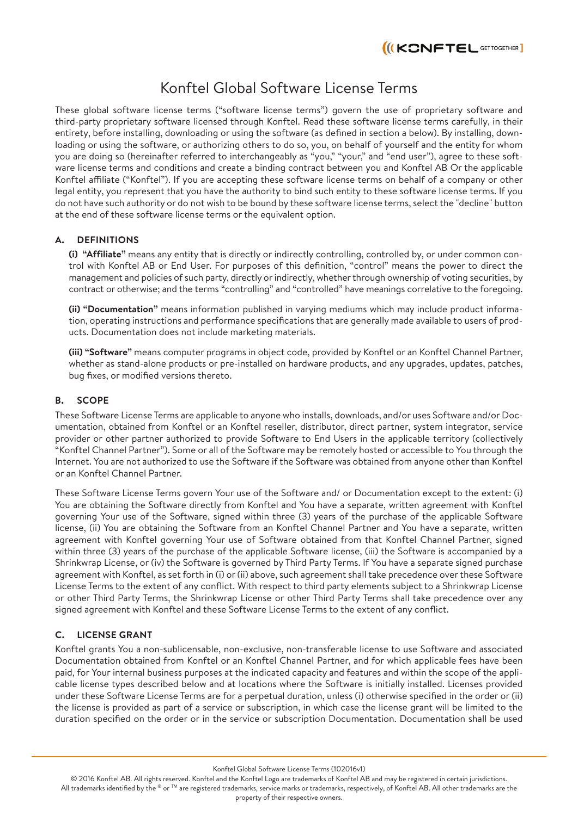# Konftel Global Software License Terms

These global software license terms ("software license terms") govern the use of proprietary software and third-party proprietary software licensed through Konftel. Read these software license terms carefully, in their entirety, before installing, downloading or using the software (as defined in section a below). By installing, downloading or using the software, or authorizing others to do so, you, on behalf of yourself and the entity for whom you are doing so (hereinafter referred to interchangeably as "you," "your," and "end user"), agree to these software license terms and conditions and create a binding contract between you and Konftel AB Or the applicable Konftel affiliate ("Konftel"). If you are accepting these software license terms on behalf of a company or other legal entity, you represent that you have the authority to bind such entity to these software license terms. If you do not have such authority or do not wish to be bound by these software license terms, select the "decline" button at the end of these software license terms or the equivalent option.

#### **A. DEFINITIONS**

**(i) "Affiliate"** means any entity that is directly or indirectly controlling, controlled by, or under common control with Konftel AB or End User. For purposes of this definition, "control" means the power to direct the management and policies of such party, directly or indirectly, whether through ownership of voting securities, by contract or otherwise; and the terms "controlling" and "controlled" have meanings correlative to the foregoing.

**(ii) "Documentation"** means information published in varying mediums which may include product information, operating instructions and performance specifications that are generally made available to users of products. Documentation does not include marketing materials.

**(iii) "Software"** means computer programs in object code, provided by Konftel or an Konftel Channel Partner, whether as stand-alone products or pre-installed on hardware products, and any upgrades, updates, patches, bug fixes, or modified versions thereto.

# **B. SCOPE**

These Software License Terms are applicable to anyone who installs, downloads, and/or uses Software and/or Documentation, obtained from Konftel or an Konftel reseller, distributor, direct partner, system integrator, service provider or other partner authorized to provide Software to End Users in the applicable territory (collectively "Konftel Channel Partner"). Some or all of the Software may be remotely hosted or accessible to You through the Internet. You are not authorized to use the Software if the Software was obtained from anyone other than Konftel or an Konftel Channel Partner.

These Software License Terms govern Your use of the Software and/ or Documentation except to the extent: (i) You are obtaining the Software directly from Konftel and You have a separate, written agreement with Konftel governing Your use of the Software, signed within three (3) years of the purchase of the applicable Software license, (ii) You are obtaining the Software from an Konftel Channel Partner and You have a separate, written agreement with Konftel governing Your use of Software obtained from that Konftel Channel Partner, signed within three (3) years of the purchase of the applicable Software license, (iii) the Software is accompanied by a Shrinkwrap License, or (iv) the Software is governed by Third Party Terms. If You have a separate signed purchase agreement with Konftel, as set forth in (i) or (ii) above, such agreement shall take precedence over these Software License Terms to the extent of any conflict. With respect to third party elements subject to a Shrinkwrap License or other Third Party Terms, the Shrinkwrap License or other Third Party Terms shall take precedence over any signed agreement with Konftel and these Software License Terms to the extent of any conflict.

# **C. LICENSE GRANT**

Konftel grants You a non-sublicensable, non-exclusive, non-transferable license to use Software and associated Documentation obtained from Konftel or an Konftel Channel Partner, and for which applicable fees have been paid, for Your internal business purposes at the indicated capacity and features and within the scope of the applicable license types described below and at locations where the Software is initially installed. Licenses provided under these Software License Terms are for a perpetual duration, unless (i) otherwise specified in the order or (ii) the license is provided as part of a service or subscription, in which case the license grant will be limited to the duration specified on the order or in the service or subscription Documentation. Documentation shall be used

Konftel Global Software License Terms (102016v1)

© 2016 Konftel AB. All rights reserved. Konftel and the Konftel Logo are trademarks of Konftel AB and may be registered in certain jurisdictions. All trademarks identified by the ® or ™ are registered trademarks, service marks or trademarks, respectively, of Konftel AB. All other trademarks are the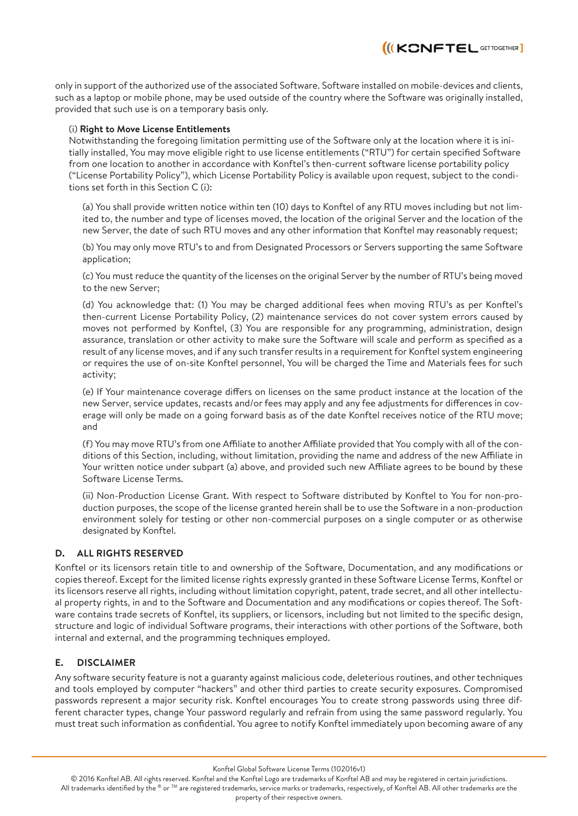II(KONFTEL GETTOGETHER

only in support of the authorized use of the associated Software. Software installed on mobile-devices and clients, such as a laptop or mobile phone, may be used outside of the country where the Software was originally installed, provided that such use is on a temporary basis only.

#### (i) **Right to Move License Entitlements**

Notwithstanding the foregoing limitation permitting use of the Software only at the location where it is initially installed, You may move eligible right to use license entitlements ("RTU") for certain specified Software from one location to another in accordance with Konftel's then-current software license portability policy ("License Portability Policy"), which License Portability Policy is available upon request, subject to the conditions set forth in this Section C (i):

(a) You shall provide written notice within ten (10) days to Konftel of any RTU moves including but not limited to, the number and type of licenses moved, the location of the original Server and the location of the new Server, the date of such RTU moves and any other information that Konftel may reasonably request;

(b) You may only move RTU's to and from Designated Processors or Servers supporting the same Software application;

(c) You must reduce the quantity of the licenses on the original Server by the number of RTU's being moved to the new Server;

(d) You acknowledge that: (1) You may be charged additional fees when moving RTU's as per Konftel's then-current License Portability Policy, (2) maintenance services do not cover system errors caused by moves not performed by Konftel, (3) You are responsible for any programming, administration, design assurance, translation or other activity to make sure the Software will scale and perform as specified as a result of any license moves, and if any such transfer results in a requirement for Konftel system engineering or requires the use of on-site Konftel personnel, You will be charged the Time and Materials fees for such activity;

(e) If Your maintenance coverage differs on licenses on the same product instance at the location of the new Server, service updates, recasts and/or fees may apply and any fee adjustments for differences in coverage will only be made on a going forward basis as of the date Konftel receives notice of the RTU move; and

(f) You may move RTU's from one Affiliate to another Affiliate provided that You comply with all of the conditions of this Section, including, without limitation, providing the name and address of the new Affiliate in Your written notice under subpart (a) above, and provided such new Affiliate agrees to be bound by these Software License Terms.

(ii) Non-Production License Grant. With respect to Software distributed by Konftel to You for non-production purposes, the scope of the license granted herein shall be to use the Software in a non-production environment solely for testing or other non-commercial purposes on a single computer or as otherwise designated by Konftel.

#### **D. ALL RIGHTS RESERVED**

Konftel or its licensors retain title to and ownership of the Software, Documentation, and any modifications or copies thereof. Except for the limited license rights expressly granted in these Software License Terms, Konftel or its licensors reserve all rights, including without limitation copyright, patent, trade secret, and all other intellectual property rights, in and to the Software and Documentation and any modifications or copies thereof. The Software contains trade secrets of Konftel, its suppliers, or licensors, including but not limited to the specific design, structure and logic of individual Software programs, their interactions with other portions of the Software, both internal and external, and the programming techniques employed.

#### **E. DISCLAIMER**

Any software security feature is not a guaranty against malicious code, deleterious routines, and other techniques and tools employed by computer "hackers" and other third parties to create security exposures. Compromised passwords represent a major security risk. Konftel encourages You to create strong passwords using three different character types, change Your password regularly and refrain from using the same password regularly. You must treat such information as confidential. You agree to notify Konftel immediately upon becoming aware of any

Konftel Global Software License Terms (102016v1)

© 2016 Konftel AB. All rights reserved. Konftel and the Konftel Logo are trademarks of Konftel AB and may be registered in certain jurisdictions. All trademarks identified by the ® or ™ are registered trademarks, service marks or trademarks, respectively, of Konftel AB. All other trademarks are the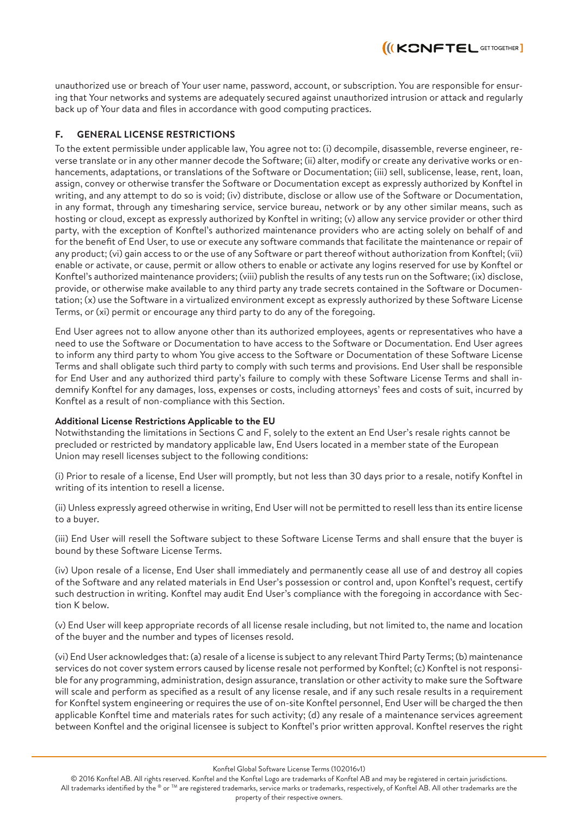

unauthorized use or breach of Your user name, password, account, or subscription. You are responsible for ensuring that Your networks and systems are adequately secured against unauthorized intrusion or attack and regularly back up of Your data and files in accordance with good computing practices.

## **F. GENERAL LICENSE RESTRICTIONS**

To the extent permissible under applicable law, You agree not to: (i) decompile, disassemble, reverse engineer, reverse translate or in any other manner decode the Software; (ii) alter, modify or create any derivative works or enhancements, adaptations, or translations of the Software or Documentation; (iii) sell, sublicense, lease, rent, loan, assign, convey or otherwise transfer the Software or Documentation except as expressly authorized by Konftel in writing, and any attempt to do so is void; (iv) distribute, disclose or allow use of the Software or Documentation, in any format, through any timesharing service, service bureau, network or by any other similar means, such as hosting or cloud, except as expressly authorized by Konftel in writing; (v) allow any service provider or other third party, with the exception of Konftel's authorized maintenance providers who are acting solely on behalf of and for the benefit of End User, to use or execute any software commands that facilitate the maintenance or repair of any product; (vi) gain access to or the use of any Software or part thereof without authorization from Konftel; (vii) enable or activate, or cause, permit or allow others to enable or activate any logins reserved for use by Konftel or Konftel's authorized maintenance providers; (viii) publish the results of any tests run on the Software; (ix) disclose, provide, or otherwise make available to any third party any trade secrets contained in the Software or Documentation; (x) use the Software in a virtualized environment except as expressly authorized by these Software License Terms, or (xi) permit or encourage any third party to do any of the foregoing.

End User agrees not to allow anyone other than its authorized employees, agents or representatives who have a need to use the Software or Documentation to have access to the Software or Documentation. End User agrees to inform any third party to whom You give access to the Software or Documentation of these Software License Terms and shall obligate such third party to comply with such terms and provisions. End User shall be responsible for End User and any authorized third party's failure to comply with these Software License Terms and shall indemnify Konftel for any damages, loss, expenses or costs, including attorneys' fees and costs of suit, incurred by Konftel as a result of non-compliance with this Section.

#### **Additional License Restrictions Applicable to the EU**

Notwithstanding the limitations in Sections C and F, solely to the extent an End User's resale rights cannot be precluded or restricted by mandatory applicable law, End Users located in a member state of the European Union may resell licenses subject to the following conditions:

(i) Prior to resale of a license, End User will promptly, but not less than 30 days prior to a resale, notify Konftel in writing of its intention to resell a license.

(ii) Unless expressly agreed otherwise in writing, End User will not be permitted to resell less than its entire license to a buyer.

(iii) End User will resell the Software subject to these Software License Terms and shall ensure that the buyer is bound by these Software License Terms.

(iv) Upon resale of a license, End User shall immediately and permanently cease all use of and destroy all copies of the Software and any related materials in End User's possession or control and, upon Konftel's request, certify such destruction in writing. Konftel may audit End User's compliance with the foregoing in accordance with Section K below.

(v) End User will keep appropriate records of all license resale including, but not limited to, the name and location of the buyer and the number and types of licenses resold.

(vi) End User acknowledges that: (a) resale of a license is subject to any relevant Third Party Terms; (b) maintenance services do not cover system errors caused by license resale not performed by Konftel; (c) Konftel is not responsible for any programming, administration, design assurance, translation or other activity to make sure the Software will scale and perform as specified as a result of any license resale, and if any such resale results in a requirement for Konftel system engineering or requires the use of on-site Konftel personnel, End User will be charged the then applicable Konftel time and materials rates for such activity; (d) any resale of a maintenance services agreement between Konftel and the original licensee is subject to Konftel's prior written approval. Konftel reserves the right

Konftel Global Software License Terms (102016v1)

© 2016 Konftel AB. All rights reserved. Konftel and the Konftel Logo are trademarks of Konftel AB and may be registered in certain jurisdictions. All trademarks identified by the ® or TM are registered trademarks, service marks or trademarks, respectively, of Konftel AB. All other trademarks are the property of their respective owners.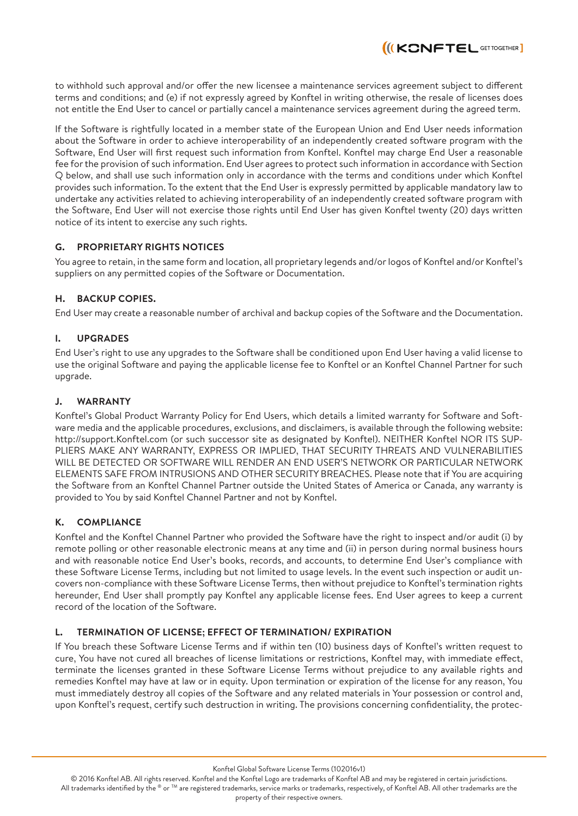to withhold such approval and/or offer the new licensee a maintenance services agreement subject to different terms and conditions; and (e) if not expressly agreed by Konftel in writing otherwise, the resale of licenses does not entitle the End User to cancel or partially cancel a maintenance services agreement during the agreed term.

II(KONFTEL GETTOGETHER

If the Software is rightfully located in a member state of the European Union and End User needs information about the Software in order to achieve interoperability of an independently created software program with the Software, End User will first request such information from Konftel. Konftel may charge End User a reasonable fee for the provision of such information. End User agrees to protect such information in accordance with Section Q below, and shall use such information only in accordance with the terms and conditions under which Konftel provides such information. To the extent that the End User is expressly permitted by applicable mandatory law to undertake any activities related to achieving interoperability of an independently created software program with the Software, End User will not exercise those rights until End User has given Konftel twenty (20) days written notice of its intent to exercise any such rights.

# **G. PROPRIETARY RIGHTS NOTICES**

You agree to retain, in the same form and location, all proprietary legends and/or logos of Konftel and/or Konftel's suppliers on any permitted copies of the Software or Documentation.

## **H. BACKUP COPIES.**

End User may create a reasonable number of archival and backup copies of the Software and the Documentation.

## **I. UPGRADES**

End User's right to use any upgrades to the Software shall be conditioned upon End User having a valid license to use the original Software and paying the applicable license fee to Konftel or an Konftel Channel Partner for such upgrade.

## **J. WARRANTY**

Konftel's Global Product Warranty Policy for End Users, which details a limited warranty for Software and Software media and the applicable procedures, exclusions, and disclaimers, is available through the following website: http://support.Konftel.com (or such successor site as designated by Konftel). NEITHER Konftel NOR ITS SUP-PLIERS MAKE ANY WARRANTY, EXPRESS OR IMPLIED, THAT SECURITY THREATS AND VULNERABILITIES WILL BE DETECTED OR SOFTWARE WILL RENDER AN END USER'S NETWORK OR PARTICULAR NETWORK ELEMENTS SAFE FROM INTRUSIONS AND OTHER SECURITY BREACHES. Please note that if You are acquiring the Software from an Konftel Channel Partner outside the United States of America or Canada, any warranty is provided to You by said Konftel Channel Partner and not by Konftel.

#### **K. COMPLIANCE**

Konftel and the Konftel Channel Partner who provided the Software have the right to inspect and/or audit (i) by remote polling or other reasonable electronic means at any time and (ii) in person during normal business hours and with reasonable notice End User's books, records, and accounts, to determine End User's compliance with these Software License Terms, including but not limited to usage levels. In the event such inspection or audit uncovers non-compliance with these Software License Terms, then without prejudice to Konftel's termination rights hereunder, End User shall promptly pay Konftel any applicable license fees. End User agrees to keep a current record of the location of the Software.

#### **L. TERMINATION OF LICENSE; EFFECT OF TERMINATION/ EXPIRATION**

If You breach these Software License Terms and if within ten (10) business days of Konftel's written request to cure, You have not cured all breaches of license limitations or restrictions, Konftel may, with immediate effect, terminate the licenses granted in these Software License Terms without prejudice to any available rights and remedies Konftel may have at law or in equity. Upon termination or expiration of the license for any reason, You must immediately destroy all copies of the Software and any related materials in Your possession or control and, upon Konftel's request, certify such destruction in writing. The provisions concerning confidentiality, the protec-

Konftel Global Software License Terms (102016v1)

© 2016 Konftel AB. All rights reserved. Konftel and the Konftel Logo are trademarks of Konftel AB and may be registered in certain jurisdictions.

All trademarks identified by the ® or ™ are registered trademarks, service marks or trademarks, respectively, of Konftel AB. All other trademarks are the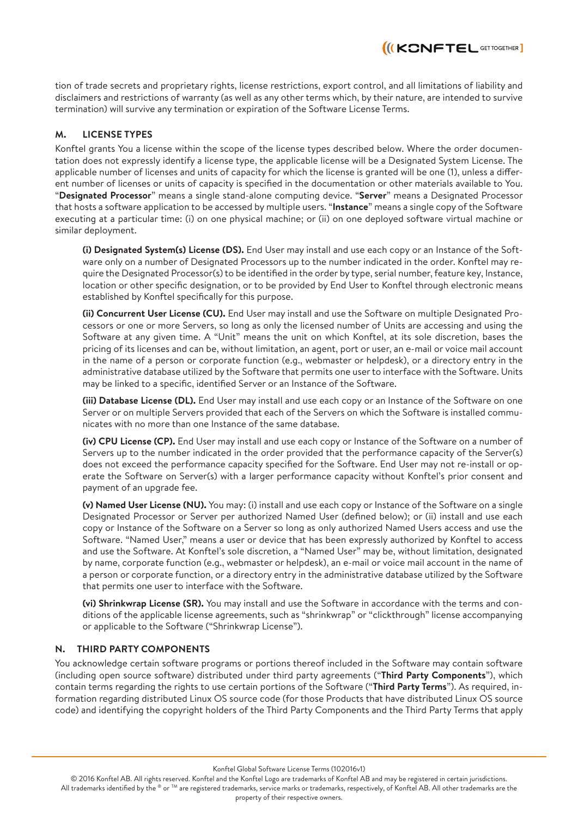tion of trade secrets and proprietary rights, license restrictions, export control, and all limitations of liability and disclaimers and restrictions of warranty (as well as any other terms which, by their nature, are intended to survive termination) will survive any termination or expiration of the Software License Terms.

**III KONFTEL GETTOGETHER** 

## **M. LICENSE TYPES**

Konftel grants You a license within the scope of the license types described below. Where the order documentation does not expressly identify a license type, the applicable license will be a Designated System License. The applicable number of licenses and units of capacity for which the license is granted will be one (1), unless a different number of licenses or units of capacity is specified in the documentation or other materials available to You. "**Designated Processor**" means a single stand-alone computing device. "**Server**" means a Designated Processor that hosts a software application to be accessed by multiple users. "**Instance**" means a single copy of the Software executing at a particular time: (i) on one physical machine; or (ii) on one deployed software virtual machine or similar deployment.

**(i) Designated System(s) License (DS).** End User may install and use each copy or an Instance of the Software only on a number of Designated Processors up to the number indicated in the order. Konftel may require the Designated Processor(s) to be identified in the order by type, serial number, feature key, Instance, location or other specific designation, or to be provided by End User to Konftel through electronic means established by Konftel specifically for this purpose.

**(ii) Concurrent User License (CU).** End User may install and use the Software on multiple Designated Processors or one or more Servers, so long as only the licensed number of Units are accessing and using the Software at any given time. A "Unit" means the unit on which Konftel, at its sole discretion, bases the pricing of its licenses and can be, without limitation, an agent, port or user, an e-mail or voice mail account in the name of a person or corporate function (e.g., webmaster or helpdesk), or a directory entry in the administrative database utilized by the Software that permits one user to interface with the Software. Units may be linked to a specific, identified Server or an Instance of the Software.

**(iii) Database License (DL).** End User may install and use each copy or an Instance of the Software on one Server or on multiple Servers provided that each of the Servers on which the Software is installed communicates with no more than one Instance of the same database.

**(iv) CPU License (CP).** End User may install and use each copy or Instance of the Software on a number of Servers up to the number indicated in the order provided that the performance capacity of the Server(s) does not exceed the performance capacity specified for the Software. End User may not re-install or operate the Software on Server(s) with a larger performance capacity without Konftel's prior consent and payment of an upgrade fee.

**(v) Named User License (NU).** You may: (i) install and use each copy or Instance of the Software on a single Designated Processor or Server per authorized Named User (defined below); or (ii) install and use each copy or Instance of the Software on a Server so long as only authorized Named Users access and use the Software. "Named User," means a user or device that has been expressly authorized by Konftel to access and use the Software. At Konftel's sole discretion, a "Named User" may be, without limitation, designated by name, corporate function (e.g., webmaster or helpdesk), an e-mail or voice mail account in the name of a person or corporate function, or a directory entry in the administrative database utilized by the Software that permits one user to interface with the Software.

**(vi) Shrinkwrap License (SR).** You may install and use the Software in accordance with the terms and conditions of the applicable license agreements, such as "shrinkwrap" or "clickthrough" license accompanying or applicable to the Software ("Shrinkwrap License").

#### **N. THIRD PARTY COMPONENTS**

You acknowledge certain software programs or portions thereof included in the Software may contain software (including open source software) distributed under third party agreements ("**Third Party Components**"), which contain terms regarding the rights to use certain portions of the Software ("**Third Party Terms**"). As required, information regarding distributed Linux OS source code (for those Products that have distributed Linux OS source code) and identifying the copyright holders of the Third Party Components and the Third Party Terms that apply

Konftel Global Software License Terms (102016v1)

© 2016 Konftel AB. All rights reserved. Konftel and the Konftel Logo are trademarks of Konftel AB and may be registered in certain jurisdictions. All trademarks identified by the ® or TM are registered trademarks, service marks or trademarks, respectively, of Konftel AB. All other trademarks are the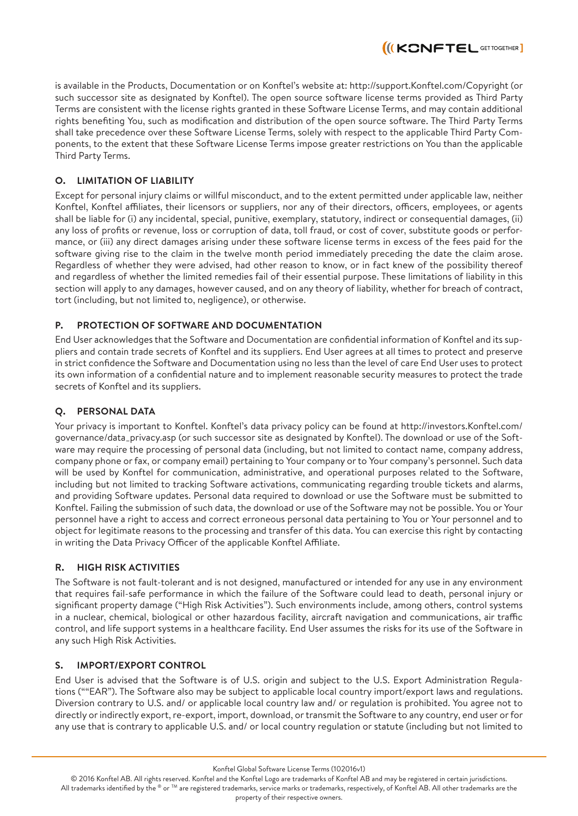is available in the Products, Documentation or on Konftel's website at: http://support.Konftel.com/Copyright (or such successor site as designated by Konftel). The open source software license terms provided as Third Party Terms are consistent with the license rights granted in these Software License Terms, and may contain additional rights benefiting You, such as modification and distribution of the open source software. The Third Party Terms shall take precedence over these Software License Terms, solely with respect to the applicable Third Party Components, to the extent that these Software License Terms impose greater restrictions on You than the applicable Third Party Terms.

II(KONFTEL GETTOGETHER

# **O. LIMITATION OF LIABILITY**

Except for personal injury claims or willful misconduct, and to the extent permitted under applicable law, neither Konftel, Konftel affiliates, their licensors or suppliers, nor any of their directors, officers, employees, or agents shall be liable for (i) any incidental, special, punitive, exemplary, statutory, indirect or consequential damages, (ii) any loss of profits or revenue, loss or corruption of data, toll fraud, or cost of cover, substitute goods or performance, or (iii) any direct damages arising under these software license terms in excess of the fees paid for the software giving rise to the claim in the twelve month period immediately preceding the date the claim arose. Regardless of whether they were advised, had other reason to know, or in fact knew of the possibility thereof and regardless of whether the limited remedies fail of their essential purpose. These limitations of liability in this section will apply to any damages, however caused, and on any theory of liability, whether for breach of contract, tort (including, but not limited to, negligence), or otherwise.

# **P. PROTECTION OF SOFTWARE AND DOCUMENTATION**

End User acknowledges that the Software and Documentation are confidential information of Konftel and its suppliers and contain trade secrets of Konftel and its suppliers. End User agrees at all times to protect and preserve in strict confidence the Software and Documentation using no less than the level of care End User uses to protect its own information of a confidential nature and to implement reasonable security measures to protect the trade secrets of Konftel and its suppliers.

# **Q. PERSONAL DATA**

Your privacy is important to Konftel. Konftel's data privacy policy can be found at http://investors.Konftel.com/ governance/data\_privacy.asp (or such successor site as designated by Konftel). The download or use of the Software may require the processing of personal data (including, but not limited to contact name, company address, company phone or fax, or company email) pertaining to Your company or to Your company's personnel. Such data will be used by Konftel for communication, administrative, and operational purposes related to the Software, including but not limited to tracking Software activations, communicating regarding trouble tickets and alarms, and providing Software updates. Personal data required to download or use the Software must be submitted to Konftel. Failing the submission of such data, the download or use of the Software may not be possible. You or Your personnel have a right to access and correct erroneous personal data pertaining to You or Your personnel and to object for legitimate reasons to the processing and transfer of this data. You can exercise this right by contacting in writing the Data Privacy Officer of the applicable Konftel Affiliate.

# **R. HIGH RISK ACTIVITIES**

The Software is not fault-tolerant and is not designed, manufactured or intended for any use in any environment that requires fail-safe performance in which the failure of the Software could lead to death, personal injury or significant property damage ("High Risk Activities"). Such environments include, among others, control systems in a nuclear, chemical, biological or other hazardous facility, aircraft navigation and communications, air traffic control, and life support systems in a healthcare facility. End User assumes the risks for its use of the Software in any such High Risk Activities.

# **S. IMPORT/EXPORT CONTROL**

End User is advised that the Software is of U.S. origin and subject to the U.S. Export Administration Regulations (""EAR"). The Software also may be subject to applicable local country import/export laws and regulations. Diversion contrary to U.S. and/ or applicable local country law and/ or regulation is prohibited. You agree not to directly or indirectly export, re-export, import, download, or transmit the Software to any country, end user or for any use that is contrary to applicable U.S. and/ or local country regulation or statute (including but not limited to

Konftel Global Software License Terms (102016v1)

© 2016 Konftel AB. All rights reserved. Konftel and the Konftel Logo are trademarks of Konftel AB and may be registered in certain jurisdictions. All trademarks identified by the ® or ™ are registered trademarks, service marks or trademarks, respectively, of Konftel AB. All other trademarks are the property of their respective owners.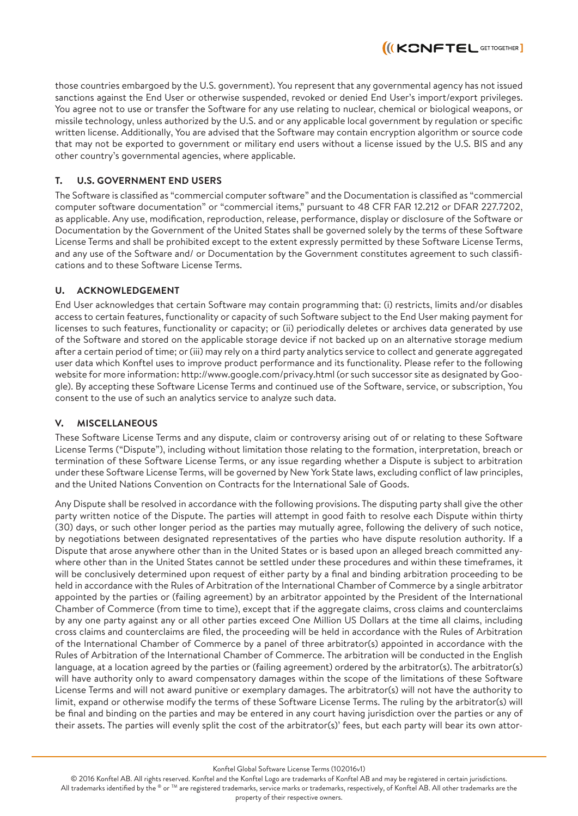those countries embargoed by the U.S. government). You represent that any governmental agency has not issued sanctions against the End User or otherwise suspended, revoked or denied End User's import/export privileges. You agree not to use or transfer the Software for any use relating to nuclear, chemical or biological weapons, or missile technology, unless authorized by the U.S. and or any applicable local government by regulation or specific written license. Additionally, You are advised that the Software may contain encryption algorithm or source code that may not be exported to government or military end users without a license issued by the U.S. BIS and any other country's governmental agencies, where applicable.

II(KONFTEL GETTOGETHER

# **T. U.S. GOVERNMENT END USERS**

The Software is classified as "commercial computer software" and the Documentation is classified as "commercial computer software documentation" or "commercial items," pursuant to 48 CFR FAR 12.212 or DFAR 227.7202, as applicable. Any use, modification, reproduction, release, performance, display or disclosure of the Software or Documentation by the Government of the United States shall be governed solely by the terms of these Software License Terms and shall be prohibited except to the extent expressly permitted by these Software License Terms, and any use of the Software and/ or Documentation by the Government constitutes agreement to such classifications and to these Software License Terms.

#### **U. ACKNOWLEDGEMENT**

End User acknowledges that certain Software may contain programming that: (i) restricts, limits and/or disables access to certain features, functionality or capacity of such Software subject to the End User making payment for licenses to such features, functionality or capacity; or (ii) periodically deletes or archives data generated by use of the Software and stored on the applicable storage device if not backed up on an alternative storage medium after a certain period of time; or (iii) may rely on a third party analytics service to collect and generate aggregated user data which Konftel uses to improve product performance and its functionality. Please refer to the following website for more information: http://www.google.com/privacy.html (or such successor site as designated by Google). By accepting these Software License Terms and continued use of the Software, service, or subscription, You consent to the use of such an analytics service to analyze such data.

#### **V. MISCELLANEOUS**

These Software License Terms and any dispute, claim or controversy arising out of or relating to these Software License Terms ("Dispute"), including without limitation those relating to the formation, interpretation, breach or termination of these Software License Terms, or any issue regarding whether a Dispute is subject to arbitration under these Software License Terms, will be governed by New York State laws, excluding conflict of law principles, and the United Nations Convention on Contracts for the International Sale of Goods.

Any Dispute shall be resolved in accordance with the following provisions. The disputing party shall give the other party written notice of the Dispute. The parties will attempt in good faith to resolve each Dispute within thirty (30) days, or such other longer period as the parties may mutually agree, following the delivery of such notice, by negotiations between designated representatives of the parties who have dispute resolution authority. If a Dispute that arose anywhere other than in the United States or is based upon an alleged breach committed anywhere other than in the United States cannot be settled under these procedures and within these timeframes, it will be conclusively determined upon request of either party by a final and binding arbitration proceeding to be held in accordance with the Rules of Arbitration of the International Chamber of Commerce by a single arbitrator appointed by the parties or (failing agreement) by an arbitrator appointed by the President of the International Chamber of Commerce (from time to time), except that if the aggregate claims, cross claims and counterclaims by any one party against any or all other parties exceed One Million US Dollars at the time all claims, including cross claims and counterclaims are filed, the proceeding will be held in accordance with the Rules of Arbitration of the International Chamber of Commerce by a panel of three arbitrator(s) appointed in accordance with the Rules of Arbitration of the International Chamber of Commerce. The arbitration will be conducted in the English language, at a location agreed by the parties or (failing agreement) ordered by the arbitrator(s). The arbitrator(s) will have authority only to award compensatory damages within the scope of the limitations of these Software License Terms and will not award punitive or exemplary damages. The arbitrator(s) will not have the authority to limit, expand or otherwise modify the terms of these Software License Terms. The ruling by the arbitrator(s) will be final and binding on the parties and may be entered in any court having jurisdiction over the parties or any of their assets. The parties will evenly split the cost of the arbitrator(s)' fees, but each party will bear its own attor-

Konftel Global Software License Terms (102016v1)

© 2016 Konftel AB. All rights reserved. Konftel and the Konftel Logo are trademarks of Konftel AB and may be registered in certain jurisdictions. All trademarks identified by the ® or ™ are registered trademarks, service marks or trademarks, respectively, of Konftel AB. All other trademarks are the property of their respective owners.